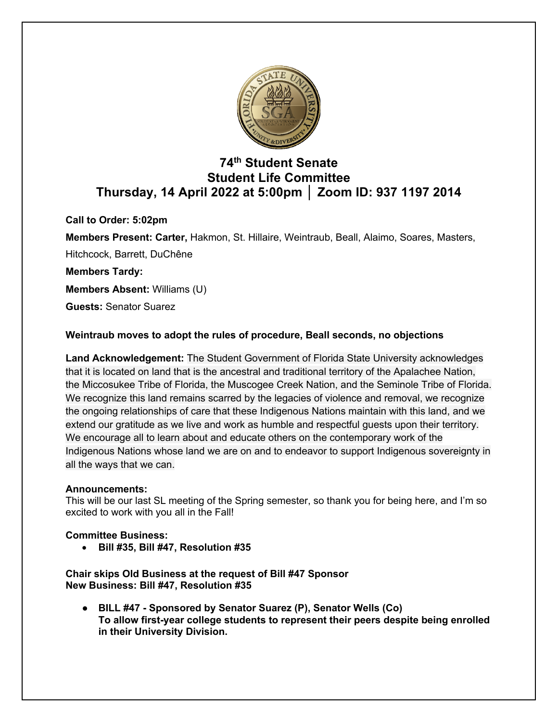

# **74th Student Senate Student Life Committee Thursday, 14 April 2022 at 5:00pm │ Zoom ID: 937 1197 2014**

**Call to Order: 5:02pm**

**Members Present: Carter,** Hakmon, St. Hillaire, Weintraub, Beall, Alaimo, Soares, Masters, Hitchcock, Barrett, DuChêne

**Members Tardy:**

**Members Absent:** Williams (U)

**Guests:** Senator Suarez

# **Weintraub moves to adopt the rules of procedure, Beall seconds, no objections**

**Land Acknowledgement:** The Student Government of Florida State University acknowledges that it is located on land that is the ancestral and traditional territory of the Apalachee Nation, the Miccosukee Tribe of Florida, the Muscogee Creek Nation, and the Seminole Tribe of Florida. We recognize this land remains scarred by the legacies of violence and removal, we recognize the ongoing relationships of care that these Indigenous Nations maintain with this land, and we extend our gratitude as we live and work as humble and respectful guests upon their territory. We encourage all to learn about and educate others on the contemporary work of the Indigenous Nations whose land we are on and to endeavor to support Indigenous sovereignty in all the ways that we can.

## **Announcements:**

This will be our last SL meeting of the Spring semester, so thank you for being here, and I'm so excited to work with you all in the Fall!

## **Committee Business:**

• **Bill #35, Bill #47, Resolution #35**

**Chair skips Old Business at the request of Bill #47 Sponsor New Business: Bill #47, Resolution #35**

● **BILL #47 - Sponsored by Senator Suarez (P), Senator Wells (Co) To allow first-year college students to represent their peers despite being enrolled in their University Division.**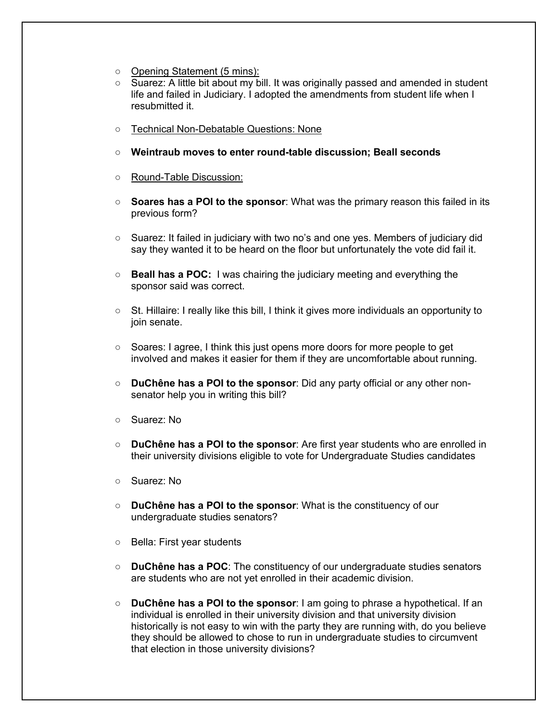- Opening Statement (5 mins):
- Suarez: A little bit about my bill. It was originally passed and amended in student life and failed in Judiciary. I adopted the amendments from student life when I resubmitted it.
- Technical Non-Debatable Questions: None
- **Weintraub moves to enter round-table discussion; Beall seconds**
- Round-Table Discussion:
- **Soares has a POI to the sponsor**: What was the primary reason this failed in its previous form?
- Suarez: It failed in judiciary with two no's and one yes. Members of judiciary did say they wanted it to be heard on the floor but unfortunately the vote did fail it.
- **Beall has a POC:** I was chairing the judiciary meeting and everything the sponsor said was correct.
- St. Hillaire: I really like this bill, I think it gives more individuals an opportunity to join senate.
- Soares: I agree, I think this just opens more doors for more people to get involved and makes it easier for them if they are uncomfortable about running.
- **DuChêne has a POI to the sponsor**: Did any party official or any other nonsenator help you in writing this bill?
- Suarez: No
- **DuChêne has a POI to the sponsor**: Are first year students who are enrolled in their university divisions eligible to vote for Undergraduate Studies candidates
- Suarez: No
- **DuChêne has a POI to the sponsor**: What is the constituency of our undergraduate studies senators?
- Bella: First year students
- **DuChêne has a POC**: The constituency of our undergraduate studies senators are students who are not yet enrolled in their academic division.
- **DuChêne has a POI to the sponsor**: I am going to phrase a hypothetical. If an individual is enrolled in their university division and that university division historically is not easy to win with the party they are running with, do you believe they should be allowed to chose to run in undergraduate studies to circumvent that election in those university divisions?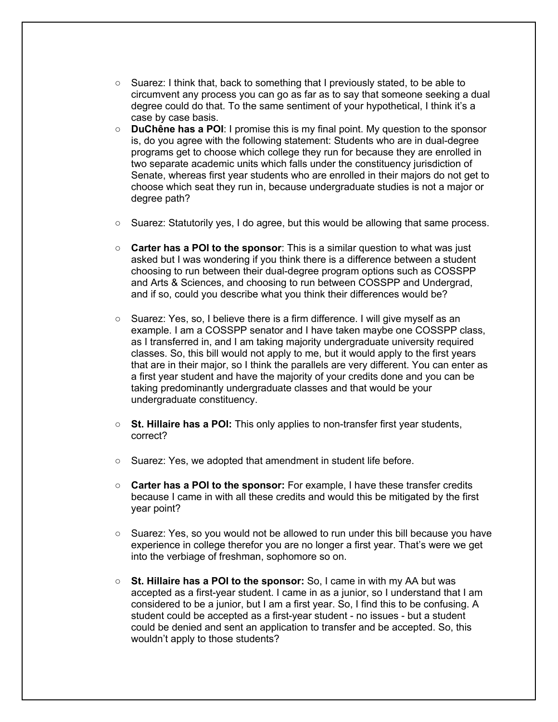- Suarez: I think that, back to something that I previously stated, to be able to circumvent any process you can go as far as to say that someone seeking a dual degree could do that. To the same sentiment of your hypothetical, I think it's a case by case basis.
- **DuChêne has a POI**: I promise this is my final point. My question to the sponsor is, do you agree with the following statement: Students who are in dual-degree programs get to choose which college they run for because they are enrolled in two separate academic units which falls under the constituency jurisdiction of Senate, whereas first year students who are enrolled in their majors do not get to choose which seat they run in, because undergraduate studies is not a major or degree path?
- Suarez: Statutorily yes, I do agree, but this would be allowing that same process.
- **Carter has a POI to the sponsor**: This is a similar question to what was just asked but I was wondering if you think there is a difference between a student choosing to run between their dual-degree program options such as COSSPP and Arts & Sciences, and choosing to run between COSSPP and Undergrad, and if so, could you describe what you think their differences would be?
- Suarez: Yes, so, I believe there is a firm difference. I will give myself as an example. I am a COSSPP senator and I have taken maybe one COSSPP class, as I transferred in, and I am taking majority undergraduate university required classes. So, this bill would not apply to me, but it would apply to the first years that are in their major, so I think the parallels are very different. You can enter as a first year student and have the majority of your credits done and you can be taking predominantly undergraduate classes and that would be your undergraduate constituency.
- **St. Hillaire has a POI:** This only applies to non-transfer first year students, correct?
- Suarez: Yes, we adopted that amendment in student life before.
- **Carter has a POI to the sponsor:** For example, I have these transfer credits because I came in with all these credits and would this be mitigated by the first year point?
- Suarez: Yes, so you would not be allowed to run under this bill because you have experience in college therefor you are no longer a first year. That's were we get into the verbiage of freshman, sophomore so on.
- **St. Hillaire has a POI to the sponsor:** So, I came in with my AA but was accepted as a first-year student. I came in as a junior, so I understand that I am considered to be a junior, but I am a first year. So, I find this to be confusing. A student could be accepted as a first-year student - no issues - but a student could be denied and sent an application to transfer and be accepted. So, this wouldn't apply to those students?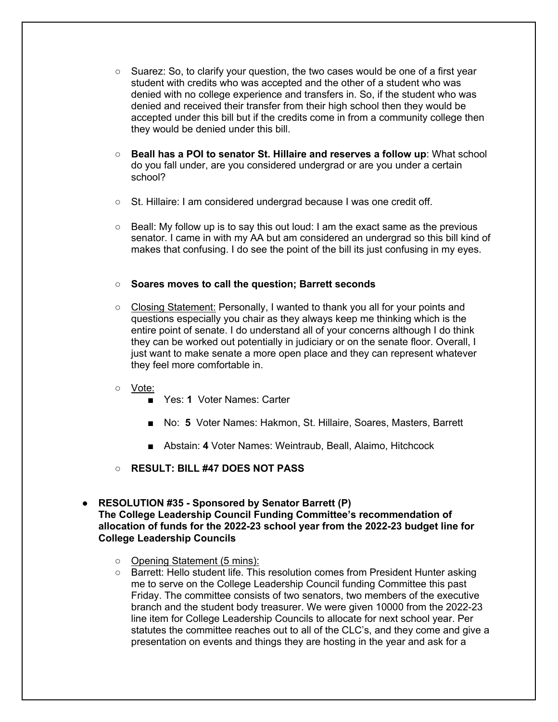- $\circ$  Suarez: So, to clarify your question, the two cases would be one of a first year student with credits who was accepted and the other of a student who was denied with no college experience and transfers in. So, if the student who was denied and received their transfer from their high school then they would be accepted under this bill but if the credits come in from a community college then they would be denied under this bill.
- **Beall has a POI to senator St. Hillaire and reserves a follow up**: What school do you fall under, are you considered undergrad or are you under a certain school?
- St. Hillaire: I am considered undergrad because I was one credit off.
- $\circ$  Beall: My follow up is to say this out loud: I am the exact same as the previous senator. I came in with my AA but am considered an undergrad so this bill kind of makes that confusing. I do see the point of the bill its just confusing in my eyes.

#### ○ **Soares moves to call the question; Barrett seconds**

- Closing Statement: Personally, I wanted to thank you all for your points and questions especially you chair as they always keep me thinking which is the entire point of senate. I do understand all of your concerns although I do think they can be worked out potentially in judiciary or on the senate floor. Overall, I just want to make senate a more open place and they can represent whatever they feel more comfortable in.
- Vote:
	- Yes: 1 Voter Names: Carter
	- No: 5 Voter Names: Hakmon, St. Hillaire, Soares, Masters, Barrett
	- Abstain: 4 Voter Names: Weintraub, Beall, Alaimo, Hitchcock
- **RESULT: BILL #47 DOES NOT PASS**
- **RESOLUTION #35 - Sponsored by Senator Barrett (P) The College Leadership Council Funding Committee's recommendation of allocation of funds for the 2022-23 school year from the 2022-23 budget line for College Leadership Councils**
	- Opening Statement (5 mins):
	- Barrett: Hello student life. This resolution comes from President Hunter asking me to serve on the College Leadership Council funding Committee this past Friday. The committee consists of two senators, two members of the executive branch and the student body treasurer. We were given 10000 from the 2022-23 line item for College Leadership Councils to allocate for next school year. Per statutes the committee reaches out to all of the CLC's, and they come and give a presentation on events and things they are hosting in the year and ask for a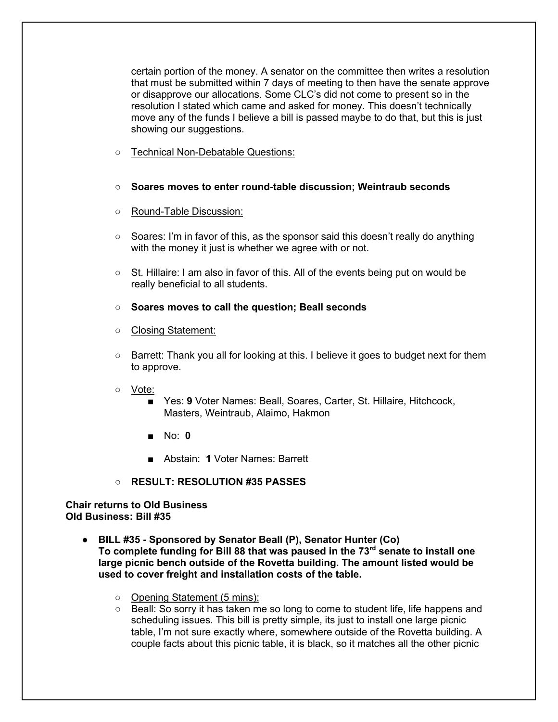certain portion of the money. A senator on the committee then writes a resolution that must be submitted within 7 days of meeting to then have the senate approve or disapprove our allocations. Some CLC's did not come to present so in the resolution I stated which came and asked for money. This doesn't technically move any of the funds I believe a bill is passed maybe to do that, but this is just showing our suggestions.

- Technical Non-Debatable Questions:
- **Soares moves to enter round-table discussion; Weintraub seconds**
- Round-Table Discussion:
- Soares: I'm in favor of this, as the sponsor said this doesn't really do anything with the money it just is whether we agree with or not.
- St. Hillaire: I am also in favor of this. All of the events being put on would be really beneficial to all students.
- **Soares moves to call the question; Beall seconds**
- Closing Statement:
- Barrett: Thank you all for looking at this. I believe it goes to budget next for them to approve.
- Vote:
	- Yes: 9 Voter Names: Beall, Soares, Carter, St. Hillaire, Hitchcock, Masters, Weintraub, Alaimo, Hakmon
	- No: **0**
	- Abstain: **1** Voter Names: Barrett
- **RESULT: RESOLUTION #35 PASSES**

#### **Chair returns to Old Business Old Business: Bill #35**

- **BILL #35 - Sponsored by Senator Beall (P), Senator Hunter (Co) To complete funding for Bill 88 that was paused in the 73rd senate to install one large picnic bench outside of the Rovetta building. The amount listed would be used to cover freight and installation costs of the table.** 
	- Opening Statement (5 mins):
	- Beall: So sorry it has taken me so long to come to student life, life happens and scheduling issues. This bill is pretty simple, its just to install one large picnic table, I'm not sure exactly where, somewhere outside of the Rovetta building. A couple facts about this picnic table, it is black, so it matches all the other picnic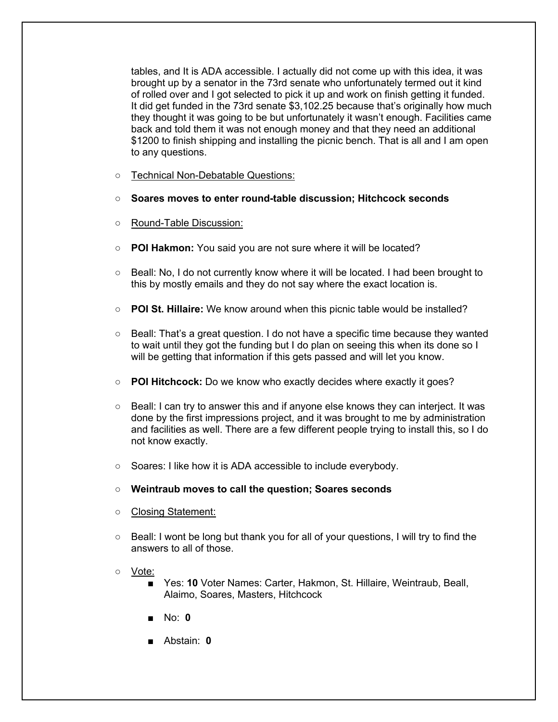tables, and It is ADA accessible. I actually did not come up with this idea, it was brought up by a senator in the 73rd senate who unfortunately termed out it kind of rolled over and I got selected to pick it up and work on finish getting it funded. It did get funded in the 73rd senate \$3,102.25 because that's originally how much they thought it was going to be but unfortunately it wasn't enough. Facilities came back and told them it was not enough money and that they need an additional \$1200 to finish shipping and installing the picnic bench. That is all and I am open to any questions.

- Technical Non-Debatable Questions:
- **Soares moves to enter round-table discussion; Hitchcock seconds**
- Round-Table Discussion:
- **POI Hakmon:** You said you are not sure where it will be located?
- Beall: No, I do not currently know where it will be located. I had been brought to this by mostly emails and they do not say where the exact location is.
- **POI St. Hillaire:** We know around when this picnic table would be installed?
- Beall: That's a great question. I do not have a specific time because they wanted to wait until they got the funding but I do plan on seeing this when its done so I will be getting that information if this gets passed and will let you know.
- **POI Hitchcock:** Do we know who exactly decides where exactly it goes?
- Beall: I can try to answer this and if anyone else knows they can interject. It was done by the first impressions project, and it was brought to me by administration and facilities as well. There are a few different people trying to install this, so I do not know exactly.
- Soares: I like how it is ADA accessible to include everybody.
- **Weintraub moves to call the question; Soares seconds**
- Closing Statement:
- Beall: I wont be long but thank you for all of your questions, I will try to find the answers to all of those.
- Vote:
	- Yes: **10** Voter Names: Carter, Hakmon, St. Hillaire, Weintraub, Beall, Alaimo, Soares, Masters, Hitchcock
	- No: **0**
	- Abstain: **0**